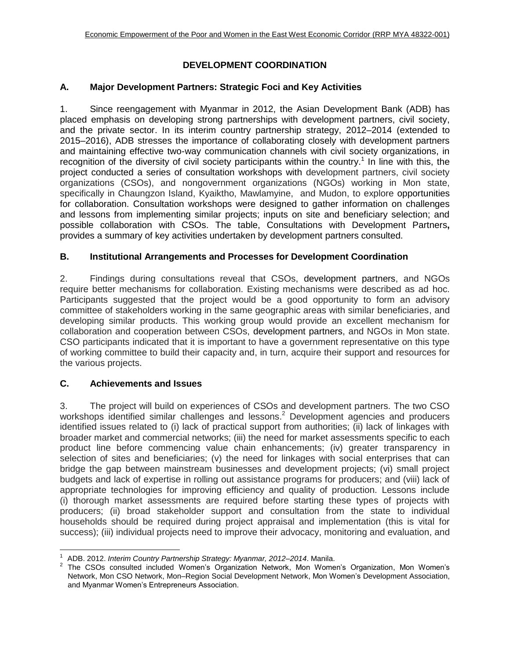# **DEVELOPMENT COORDINATION**

## **A. Major Development Partners: Strategic Foci and Key Activities**

1. Since reengagement with Myanmar in 2012, the Asian Development Bank (ADB) has placed emphasis on developing strong partnerships with development partners, civil society, and the private sector. In its interim country partnership strategy, 2012–2014 (extended to 2015–2016), ADB stresses the importance of collaborating closely with development partners and maintaining effective two-way communication channels with civil society organizations, in recognition of the diversity of civil society participants within the country.<sup>1</sup> In line with this, the project conducted a series of consultation workshops with development partners, civil society organizations (CSOs), and nongovernment organizations (NGOs) working in Mon state, specifically in Chaungzon Island, Kyaiktho, Mawlamyine, and Mudon, to explore opportunities for collaboration. Consultation workshops were designed to gather information on challenges and lessons from implementing similar projects; inputs on site and beneficiary selection; and possible collaboration with CSOs. The table, Consultations with Development Partners**,** provides a summary of key activities undertaken by development partners consulted.

### **B. Institutional Arrangements and Processes for Development Coordination**

2. Findings during consultations reveal that CSOs, development partners, and NGOs require better mechanisms for collaboration. Existing mechanisms were described as ad hoc. Participants suggested that the project would be a good opportunity to form an advisory committee of stakeholders working in the same geographic areas with similar beneficiaries, and developing similar products. This working group would provide an excellent mechanism for collaboration and cooperation between CSOs, development partners, and NGOs in Mon state. CSO participants indicated that it is important to have a government representative on this type of working committee to build their capacity and, in turn, acquire their support and resources for the various projects.

### **C. Achievements and Issues**

l

3. The project will build on experiences of CSOs and development partners. The two CSO workshops identified similar challenges and lessons.<sup>2</sup> Development agencies and producers identified issues related to (i) lack of practical support from authorities; (ii) lack of linkages with broader market and commercial networks; (iii) the need for market assessments specific to each product line before commencing value chain enhancements; (iv) greater transparency in selection of sites and beneficiaries; (v) the need for linkages with social enterprises that can bridge the gap between mainstream businesses and development projects; (vi) small project budgets and lack of expertise in rolling out assistance programs for producers; and (viii) lack of appropriate technologies for improving efficiency and quality of production. Lessons include (i) thorough market assessments are required before starting these types of projects with producers; (ii) broad stakeholder support and consultation from the state to individual households should be required during project appraisal and implementation (this is vital for success); (iii) individual projects need to improve their advocacy, monitoring and evaluation, and

<sup>1</sup> ADB. 2012. *Interim Country Partnership Strategy: Myanmar, 2012–2014*. Manila.

<sup>&</sup>lt;sup>2</sup> The CSOs consulted included Women's Organization Network, Mon Women's Organization, Mon Women's Network, Mon CSO Network, Mon–Region Social Development Network, Mon Women's Development Association, and Myanmar Women's Entrepreneurs Association.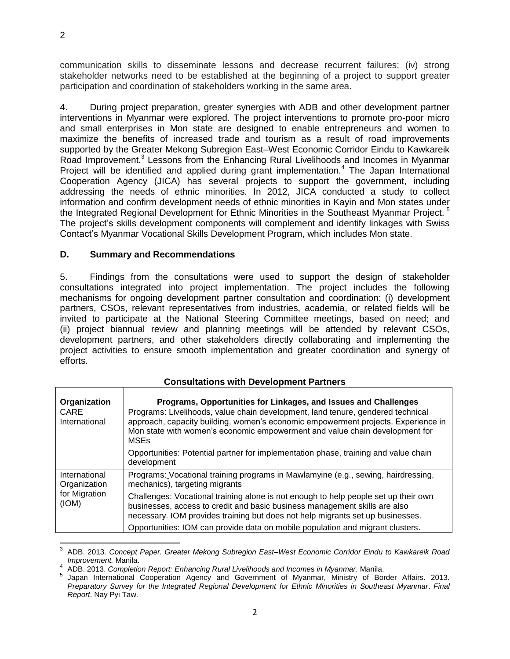communication skills to disseminate lessons and decrease recurrent failures; (iv) strong stakeholder networks need to be established at the beginning of a project to support greater participation and coordination of stakeholders working in the same area.

4. During project preparation, greater synergies with ADB and other development partner interventions in Myanmar were explored. The project interventions to promote pro-poor micro and small enterprises in Mon state are designed to enable entrepreneurs and women to maximize the benefits of increased trade and tourism as a result of road improvements supported by the Greater Mekong Subregion East–West Economic Corridor Eindu to Kawkareik Road Improvement*.* 3 Lessons from the Enhancing Rural Livelihoods and Incomes in Myanmar Project will be identified and applied during grant implementation.<sup>4</sup> The Japan International Cooperation Agency (JICA) has several projects to support the government, including addressing the needs of ethnic minorities. In 2012, JICA conducted a study to collect information and confirm development needs of ethnic minorities in Kayin and Mon states under the Integrated Regional Development for Ethnic Minorities in the Southeast Myanmar Project.<sup>5</sup> The project's skills development components will complement and identify linkages with Swiss Contact's Myanmar Vocational Skills Development Program, which includes Mon state.

### **D. Summary and Recommendations**

5. Findings from the consultations were used to support the design of stakeholder consultations integrated into project implementation. The project includes the following mechanisms for ongoing development partner consultation and coordination: (i) development partners, CSOs, relevant representatives from industries, academia, or related fields will be invited to participate at the National Steering Committee meetings, based on need; and (ii) project biannual review and planning meetings will be attended by relevant CSOs, development partners, and other stakeholders directly collaborating and implementing the project activities to ensure smooth implementation and greater coordination and synergy of efforts.

| Organization                                            | Programs, Opportunities for Linkages, and Issues and Challenges                                                                                                                                                                                                    |
|---------------------------------------------------------|--------------------------------------------------------------------------------------------------------------------------------------------------------------------------------------------------------------------------------------------------------------------|
| CARE<br>International                                   | Programs: Livelihoods, value chain development, land tenure, gendered technical<br>approach, capacity building, women's economic empowerment projects. Experience in<br>Mon state with women's economic empowerment and value chain development for<br><b>MSEs</b> |
|                                                         | Opportunities: Potential partner for implementation phase, training and value chain<br>development                                                                                                                                                                 |
| International<br>Organization<br>for Migration<br>(ION) | Programs: Vocational training programs in Mawlamyine (e.g., sewing, hairdressing,<br>mechanics), targeting migrants                                                                                                                                                |
|                                                         | Challenges: Vocational training alone is not enough to help people set up their own<br>businesses, access to credit and basic business management skills are also<br>necessary. IOM provides training but does not help migrants set up businesses.                |
|                                                         | Opportunities: IOM can provide data on mobile population and migrant clusters.                                                                                                                                                                                     |

#### **Consultations with Development Partners**

 $\overline{\phantom{a}}$ 3 ADB. 2013. *Concept Paper. Greater Mekong Subregion East–West Economic Corridor Eindu to Kawkareik Road Improvement.* Manila.

<sup>4</sup> ADB. 2013. *Completion Report: Enhancing Rural Livelihoods and Income*s *in Myanmar*. Manila.

<sup>&</sup>lt;sup>5</sup> Japan International Cooperation Agency and Government of Myanmar, Ministry of Border Affairs. 2013. *Preparatory Survey for the Integrated Regional Development for Ethnic Minorities in Southeast Myanmar*. *Final Report*. Nay Pyi Taw.